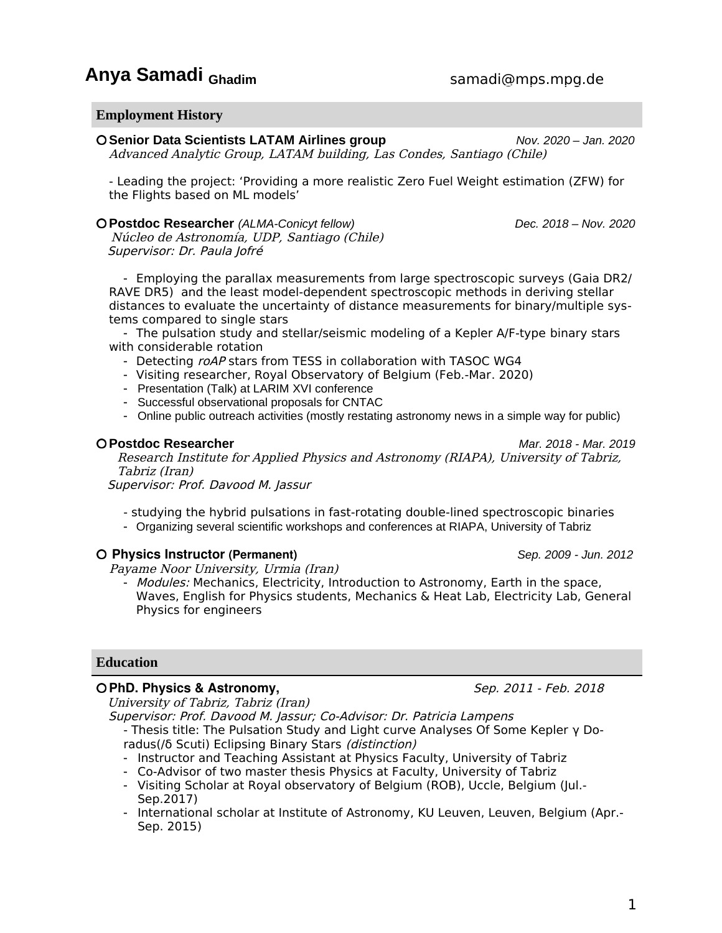# **Anya Samadi** Ghadim samadi@mps.mpg.de

#### **Employment History**

**Senior Data Scientists LATAM Airlines group** *Nov. 2020 – Jan. 2020*

Advanced Analytic Group, LATAM building, Las Condes, Santiago (Chile)

- Leading the project: 'Providing a more realistic Zero Fuel Weight estimation (ZFW) for the Flights based on ML models'

#### **Postdoc Researcher** *(ALMA-Conicyt fellow) Dec. 2018 – Nov. 2020*

 Núcleo de Astronomía, UDP, Santiago (Chile) Supervisor: Dr. Paula Jofré

- Employing the parallax measurements from large spectroscopic surveys (Gaia DR2/ RAVE DR5) and the least model-dependent spectroscopic methods in deriving stellar distances to evaluate the uncertainty of distance measurements for binary/multiple systems compared to single stars

- The pulsation study and stellar/seismic modeling of a Kepler A/F-type binary stars with considerable rotation

- Detecting roAP stars from TESS in collaboration with TASOC WG4
- Visiting researcher, Royal Observatory of Belgium (Feb.-Mar. 2020)
- Presentation (Talk) at LARIM XVI conference
- Successful observational proposals for CNTAC
- Online public outreach activities (mostly restating astronomy news in a simple way for public)

#### **Postdoc Researcher** *Mar. 2018 - Mar. 2019*

Research Institute for Applied Physics and Astronomy (RIAPA), University of Tabriz, Tabriz (Iran)

Supervisor: Prof. Davood M. Jassur

- studying the hybrid pulsations in fast-rotating double-lined spectroscopic binaries
- Organizing several scientific workshops and conferences at RIAPA, University of Tabriz

## **Physics Instructor (Permanent)** *Sep. 2009 - Jun. 2012*

Payame Noor University, Urmia (Iran)

- Modules: Mechanics, Electricity, Introduction to Astronomy, Earth in the space, Waves, English for Physics students, Mechanics & Heat Lab, Electricity Lab, General Physics for engineers

## **Education**

#### **O PhD. Physics & Astronomy,**  $\qquad \qquad$  Sep. 2011 - Feb. 2018

University of Tabriz, Tabriz (Iran)

Supervisor: Prof. Davood M. Jassur; Co-Advisor: Dr. Patricia Lampens

- Thesis title: The Pulsation Study and Light curve Analyses Of Some Kepler γ Doradus(/δ Scuti) Eclipsing Binary Stars (distinction)

- Instructor and Teaching Assistant at Physics Faculty, University of Tabriz
- Co-Advisor of two master thesis Physics at Faculty, University of Tabriz
- Visiting Scholar at Royal observatory of Belgium (ROB), Uccle, Belgium (Jul.- Sep.2017)
- International scholar at Institute of Astronomy, KU Leuven, Leuven, Belgium (Apr.- Sep. 2015)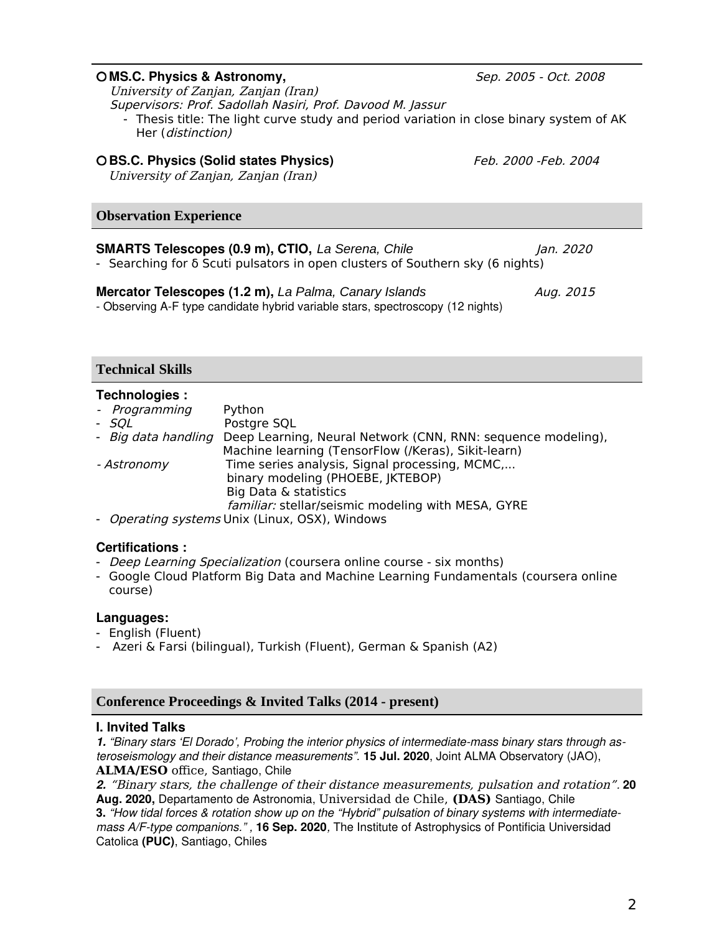| O MS.C. Physics & Astronomy,<br>University of Zanjan, Zanjan (Iran)<br>Supervisors: Prof. Sadollah Nasiri, Prof. Davood M. Jassur<br>- Thesis title: The light curve study and period variation in close binary system of AK<br>Her (distinction) | Sep. 2005 - Oct. 2008 |
|---------------------------------------------------------------------------------------------------------------------------------------------------------------------------------------------------------------------------------------------------|-----------------------|
| O BS.C. Physics (Solid states Physics)<br>University of Zanjan, Zanjan (Iran)                                                                                                                                                                     | Feb. 2000 -Feb. 2004  |
| <b>Observation Experience</b>                                                                                                                                                                                                                     |                       |
| <b>SMARTS Telescopes (0.9 m), CTIO, La Serena, Chile</b><br>- Searching for $\delta$ Scuti pulsators in open clusters of Southern sky (6 nights)                                                                                                  | Jan. 2020             |
| Mercator Telescopes (1.2 m), La Palma, Canary Islands<br>- Observing A-F type candidate hybrid variable stars, spectroscopy (12 nights)                                                                                                           | Aug. 2015             |

## **Technical Skills**

## **Technologies :**

| Python                                                                              |
|-------------------------------------------------------------------------------------|
| Postgre SQL                                                                         |
| - Big data handling<br>Deep Learning, Neural Network (CNN, RNN: sequence modeling), |
| Machine learning (TensorFlow (/Keras), Sikit-learn)                                 |
| Time series analysis, Signal processing, MCMC,                                      |
| binary modeling (PHOEBE, JKTEBOP)                                                   |
| Big Data & statistics                                                               |
| familiar: stellar/seismic modeling with MESA, GYRE                                  |
| - Operating systems Unix (Linux, OSX), Windows                                      |
|                                                                                     |

## **Certifications :**

- *Deep Learning Specialization* (coursera online course six months)
- [Google Cloud Platform Big Data and Machine Learning Fundamentals \(](https://www.linkedin.com/redir/redirect?url=https%3A%2F%2Fcoursera.org%2Fshare%2F9fb7353d84d25ff3a91b7b2a3b2a1eac&urlhash=yqKZ&trk=public_profile_certification-title)coursera online course)

# **Languages:**

- English (Fluent)
- Azeri & Farsi (bilingual), Turkish (Fluent), German & Spanish (A2)

# **Conference Proceedings & Invited Talks (2014 - present)**

## **I. Invited Talks**

*1. "Binary stars 'El Dorado', Probing the interior physics of intermediate-mass binary stars through asteroseismology and their distance measurements".* **15 Jul. 2020**, Joint ALMA Observatory (JAO), **ALMA/ESO** office, Santiago, Chile

*2.* "Binary stars, the challenge of their distance measurements, pulsation and rotation"*.* **20 Aug. 2020,** Departamento de Astronomia, Universidad de Chile, **(DAS)** Santiago, Chile

**3.** *"How tidal forces & rotation show up on the "Hybrid" pulsation of binary systems with intermediatemass A/F-type companions." ,* **16 Sep. 2020***,* The Institute of Astrophysics of Pontificia Universidad Catolica **(PUC)**, Santiago, Chiles